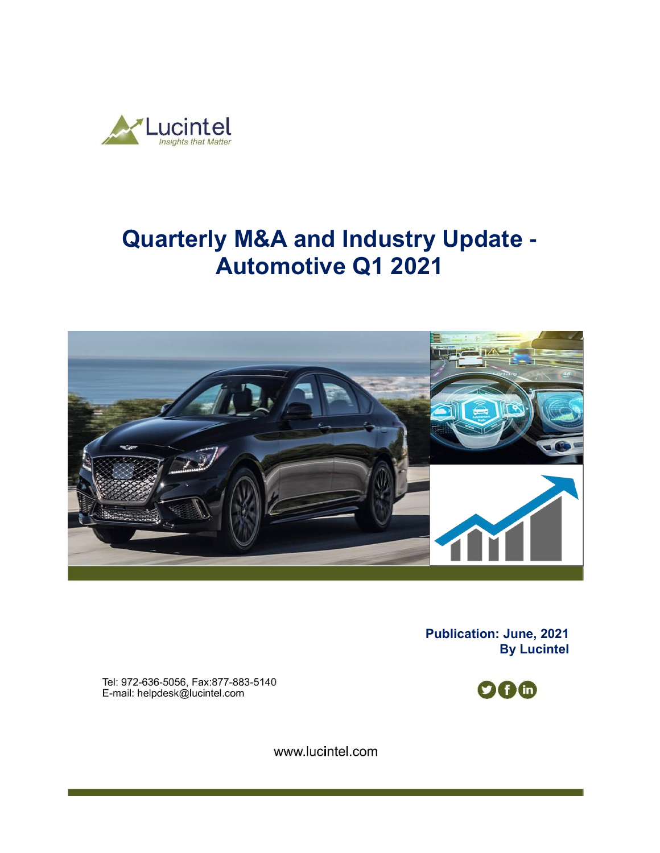

# **Quarterly M&A and Industry Update - Automotive Q1 2021**



**Publication: June, 2021 By Lucintel** 

Tel: 972-636-5056, Fax:877-883-5140 E-mail: helpdesk@lucintel.com



www.lucintel.com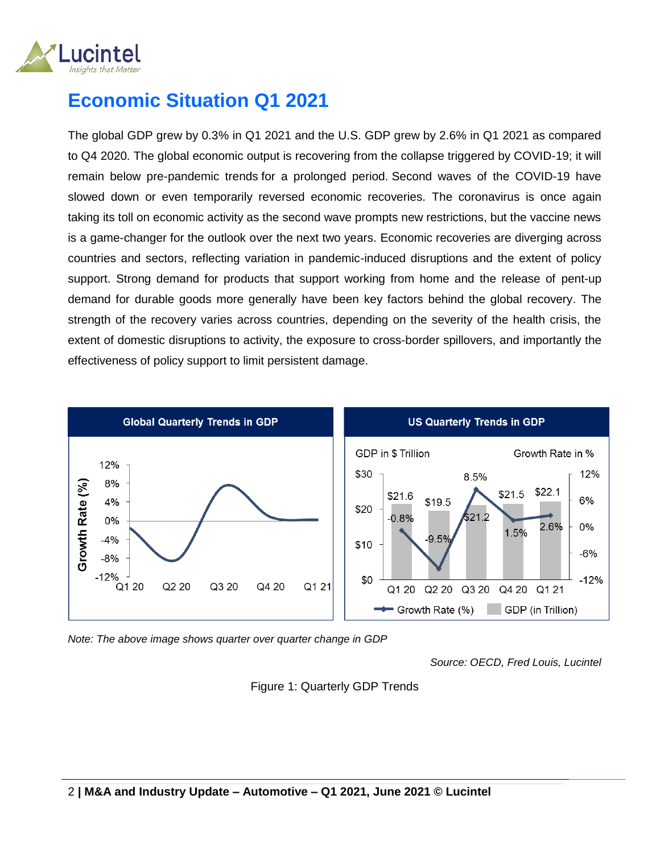

### **Economic Situation Q1 2021**

The global GDP grew by 0.3% in Q1 2021 and the U.S. GDP grew by 2.6% in Q1 2021 as compared to Q4 2020. The global economic output is recovering from the collapse triggered by COVID-19; it will remain below pre-pandemic trends for a prolonged period. Second waves of the COVID-19 have slowed down or even temporarily reversed economic recoveries. The coronavirus is once again taking its toll on economic activity as the second wave prompts new restrictions, but the vaccine news is a game-changer for the outlook over the next two years. Economic recoveries are diverging across countries and sectors, reflecting variation in pandemic-induced disruptions and the extent of policy support. Strong demand for products that support working from home and the release of pent-up demand for durable goods more generally have been key factors behind the global recovery. The strength of the recovery varies across countries, depending on the severity of the health crisis, the extent of domestic disruptions to activity, the exposure to cross-border spillovers, and importantly the effectiveness of policy support to limit persistent damage.



*Note: The above image shows quarter over quarter change in GDP* 

*Source: OECD, Fred Louis, Lucintel*

#### Figure 1: Quarterly GDP Trends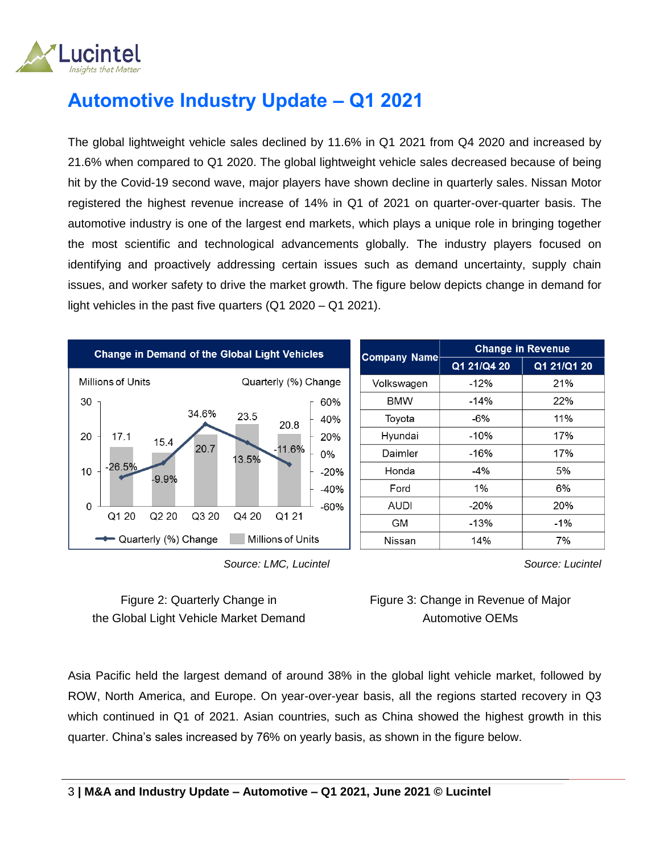

## **Automotive Industry Update – Q1 2021**

The global lightweight vehicle sales declined by 11.6% in Q1 2021 from Q4 2020 and increased by 21.6% when compared to Q1 2020. The global lightweight vehicle sales decreased because of being hit by the Covid-19 second wave, major players have shown decline in quarterly sales. Nissan Motor registered the highest revenue increase of 14% in Q1 of 2021 on quarter-over-quarter basis. The automotive industry is one of the largest end markets, which plays a unique role in bringing together the most scientific and technological advancements globally. The industry players focused on identifying and proactively addressing certain issues such as demand uncertainty, supply chain issues, and worker safety to drive the market growth. The figure below depicts change in demand for light vehicles in the past five quarters (Q1 2020 – Q1 2021).



|                     | <b>Change in Revenue</b> |             |  |
|---------------------|--------------------------|-------------|--|
| <b>Company Name</b> | Q1 21/Q4 20              | Q1 21/Q1 20 |  |
| Volkswagen          | $-12%$                   | 21%         |  |
| <b>BMW</b>          | $-14%$                   | 22%         |  |
| Toyota              | -6%                      | 11%         |  |
| Hyundai             | $-10%$                   | 17%         |  |
| Daimler             | -16%                     | 17%         |  |
| Honda               | $-4\%$                   | 5%          |  |
| Ford                | 1%                       | 6%          |  |
| <b>AUDI</b>         | $-20%$                   | 20%         |  |
| GМ                  | $-13%$                   | $-1\%$      |  |
| Nissan              | 14%                      | 7%          |  |

 *Source: LMC, Lucintel*

Figure 2: Quarterly Change in the Global Light Vehicle Market Demand *Source: Lucintel*

Figure 3: Change in Revenue of Major Automotive OEMs

Asia Pacific held the largest demand of around 38% in the global light vehicle market, followed by ROW, North America, and Europe. On year-over-year basis, all the regions started recovery in Q3 which continued in Q1 of 2021. Asian countries, such as China showed the highest growth in this quarter. China's sales increased by 76% on yearly basis, as shown in the figure below.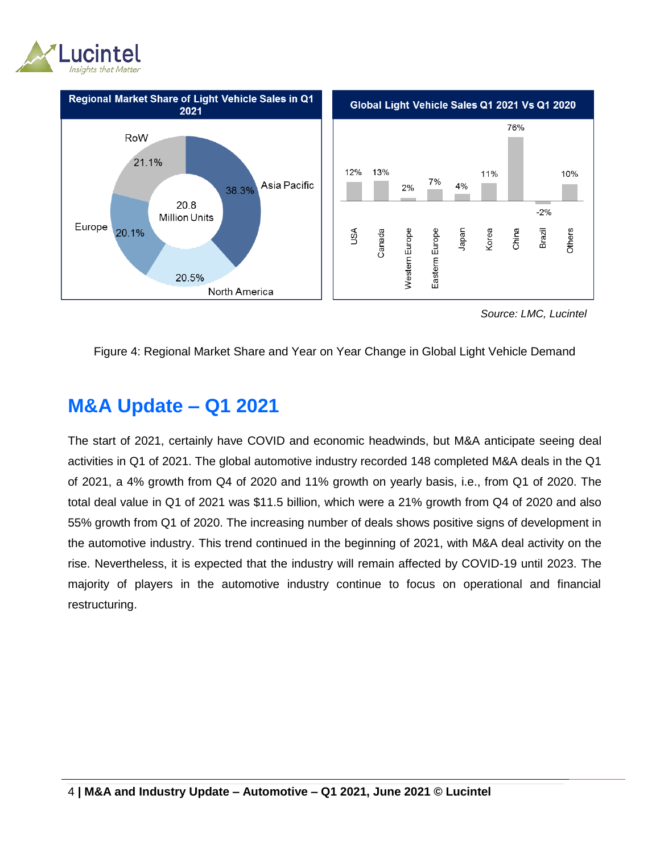



 *Source: LMC, Lucintel*

#### Figure 4: Regional Market Share and Year on Year Change in Global Light Vehicle Demand

### **M&A Update – Q1 2021**

The start of 2021, certainly have COVID and economic headwinds, but M&A anticipate seeing deal activities in Q1 of 2021. The global automotive industry recorded 148 completed M&A deals in the Q1 of 2021, a 4% growth from Q4 of 2020 and 11% growth on yearly basis, i.e., from Q1 of 2020. The total deal value in Q1 of 2021 was \$11.5 billion, which were a 21% growth from Q4 of 2020 and also 55% growth from Q1 of 2020. The increasing number of deals shows positive signs of development in the automotive industry. This trend continued in the beginning of 2021, with M&A deal activity on the rise. Nevertheless, it is expected that the industry will remain affected by COVID-19 until 2023. The majority of players in the automotive industry continue to focus on operational and financial restructuring.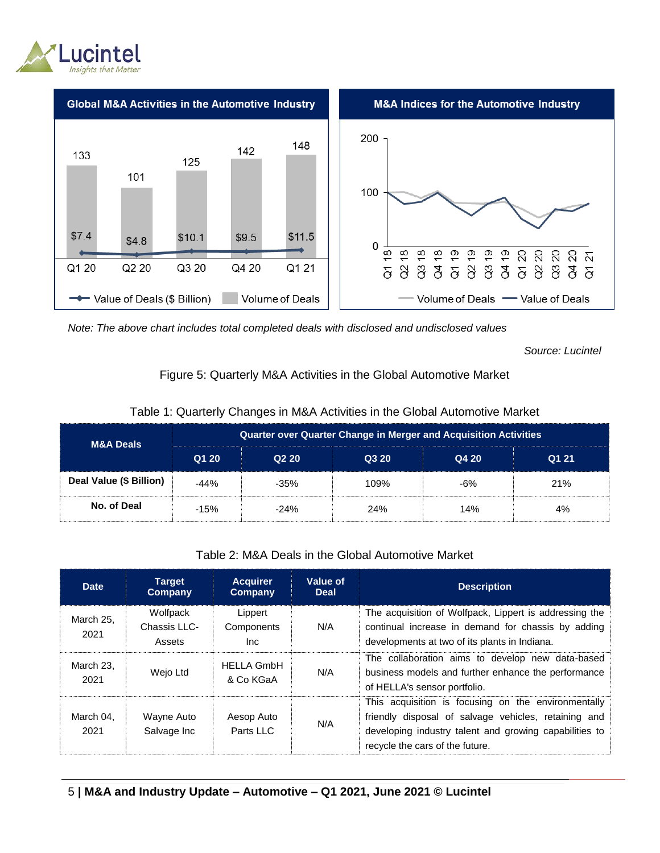



*Note: The above chart includes total completed deals with disclosed and undisclosed values*

*Source: Lucintel*

#### Figure 5: Quarterly M&A Activities in the Global Automotive Market

| <b>M&amp;A Deals</b>    | <b>Quarter over Quarter Change in Merger and Acquisition Activities</b> |                               |       |       |       |  |
|-------------------------|-------------------------------------------------------------------------|-------------------------------|-------|-------|-------|--|
|                         | Q1 20                                                                   | Q <sub>2</sub> 2 <sub>0</sub> | Q3 20 | Q4 20 | Q1 21 |  |
| Deal Value (\$ Billion) | $-44%$                                                                  | $-35%$                        | 109%  | -6%   | 21%   |  |
| No. of Deal             | $-15%$                                                                  | $-24%$                        | 24%   | 14%   | 4%    |  |

#### Table 1: Quarterly Changes in M&A Activities in the Global Automotive Market

#### Table 2: M&A Deals in the Global Automotive Market

| <b>Date</b>       | <b>Target</b><br>Company           | <b>Acquirer</b><br>Company    | Value of<br><b>Deal</b> | <b>Description</b>                                                                                                                                                                                       |
|-------------------|------------------------------------|-------------------------------|-------------------------|----------------------------------------------------------------------------------------------------------------------------------------------------------------------------------------------------------|
| March 25.<br>2021 | Wolfpack<br>Chassis LLC-<br>Assets | Lippert<br>Components<br>Inc. | N/A                     | The acquisition of Wolfpack, Lippert is addressing the<br>continual increase in demand for chassis by adding<br>developments at two of its plants in Indiana.                                            |
| March 23.<br>2021 | Wejo Ltd                           | HELLA GmbH<br>& Co KGaA       | N/A                     | The collaboration aims to develop new data-based<br>business models and further enhance the performance<br>of HELLA's sensor portfolio.                                                                  |
| March 04.<br>2021 | Wayne Auto<br>Salvage Inc          | Aesop Auto<br>Parts LLC       | N/A                     | This acquisition is focusing on the environmentally<br>friendly disposal of salvage vehicles, retaining and<br>developing industry talent and growing capabilities to<br>recycle the cars of the future. |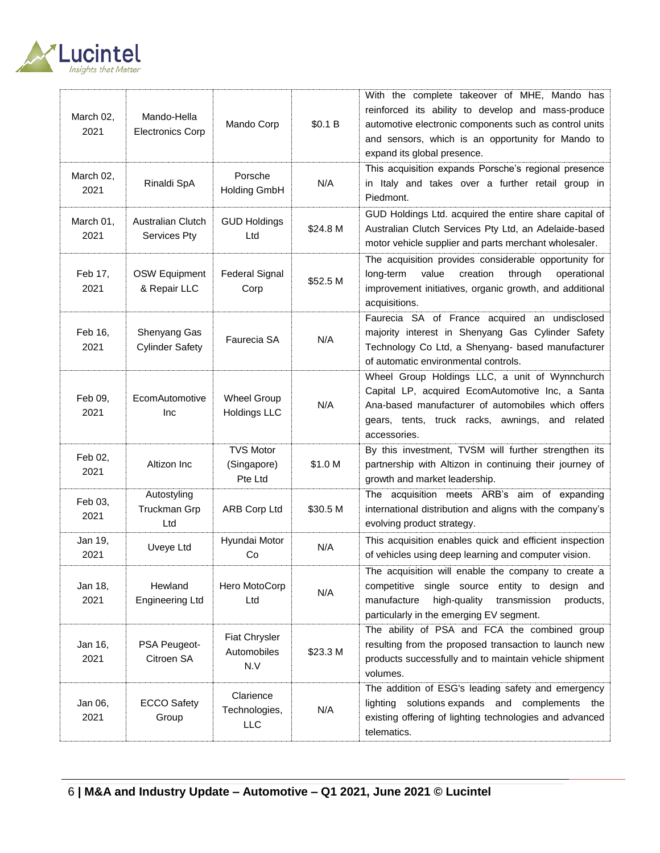

| March 02,<br>2021 | Mando-Hella<br><b>Electronics Corp</b> | Mando Corp                                 | \$0.1 B  | With the complete takeover of MHE, Mando has<br>reinforced its ability to develop and mass-produce<br>automotive electronic components such as control units<br>and sensors, which is an opportunity for Mando to<br>expand its global presence. |
|-------------------|----------------------------------------|--------------------------------------------|----------|--------------------------------------------------------------------------------------------------------------------------------------------------------------------------------------------------------------------------------------------------|
| March 02,<br>2021 | Rinaldi SpA                            | Porsche<br><b>Holding GmbH</b>             | N/A      | This acquisition expands Porsche's regional presence<br>in Italy and takes over a further retail group in<br>Piedmont.                                                                                                                           |
| March 01,<br>2021 | Australian Clutch<br>Services Pty      | <b>GUD Holdings</b><br>Ltd                 | \$24.8 M | GUD Holdings Ltd. acquired the entire share capital of<br>Australian Clutch Services Pty Ltd, an Adelaide-based<br>motor vehicle supplier and parts merchant wholesaler.                                                                         |
| Feb 17,<br>2021   | <b>OSW Equipment</b><br>& Repair LLC   | <b>Federal Signal</b><br>Corp              | \$52.5 M | The acquisition provides considerable opportunity for<br>value<br>creation<br>through<br>long-term<br>operational<br>improvement initiatives, organic growth, and additional<br>acquisitions.                                                    |
| Feb 16,<br>2021   | Shenyang Gas<br><b>Cylinder Safety</b> | Faurecia SA                                | N/A      | Faurecia SA of France acquired an undisclosed<br>majority interest in Shenyang Gas Cylinder Safety<br>Technology Co Ltd, a Shenyang- based manufacturer<br>of automatic environmental controls.                                                  |
| Feb 09,<br>2021   | EcomAutomotive<br>Inc                  | <b>Wheel Group</b><br><b>Holdings LLC</b>  | N/A      | Wheel Group Holdings LLC, a unit of Wynnchurch<br>Capital LP, acquired EcomAutomotive Inc, a Santa<br>Ana-based manufacturer of automobiles which offers<br>gears, tents, truck racks, awnings, and related<br>accessories.                      |
| Feb 02,<br>2021   | Altizon Inc                            | <b>TVS Motor</b><br>(Singapore)<br>Pte Ltd | \$1.0 M  | By this investment, TVSM will further strengthen its<br>partnership with Altizon in continuing their journey of<br>growth and market leadership.                                                                                                 |
| Feb 03,<br>2021   | Autostyling<br>Truckman Grp<br>Ltd     | <b>ARB Corp Ltd</b>                        | \$30.5 M | The acquisition meets ARB's aim of expanding<br>international distribution and aligns with the company's<br>evolving product strategy.                                                                                                           |
| Jan 19,<br>2021   | Uveye Ltd                              | Hyundai Motor<br>Co                        | N/A      | This acquisition enables quick and efficient inspection<br>of vehicles using deep learning and computer vision.                                                                                                                                  |
| Jan 18,<br>2021   | Hewland<br><b>Engineering Ltd</b>      | Hero MotoCorp<br>Ltd                       | N/A      | The acquisition will enable the company to create a<br>competitive single source entity to design and<br>manufacture<br>high-quality<br>transmission<br>products,<br>particularly in the emerging EV segment.                                    |
| Jan 16,<br>2021   | PSA Peugeot-<br>Citroen SA             | Fiat Chrysler<br>Automobiles<br>N.V        | \$23.3 M | The ability of PSA and FCA the combined group<br>resulting from the proposed transaction to launch new<br>products successfully and to maintain vehicle shipment<br>volumes.                                                                     |
| Jan 06,<br>2021   | <b>ECCO Safety</b><br>Group            | Clarience<br>Technologies,<br>LLC          | N/A      | The addition of ESG's leading safety and emergency<br>lighting solutions expands and complements the<br>existing offering of lighting technologies and advanced<br>telematics.                                                                   |